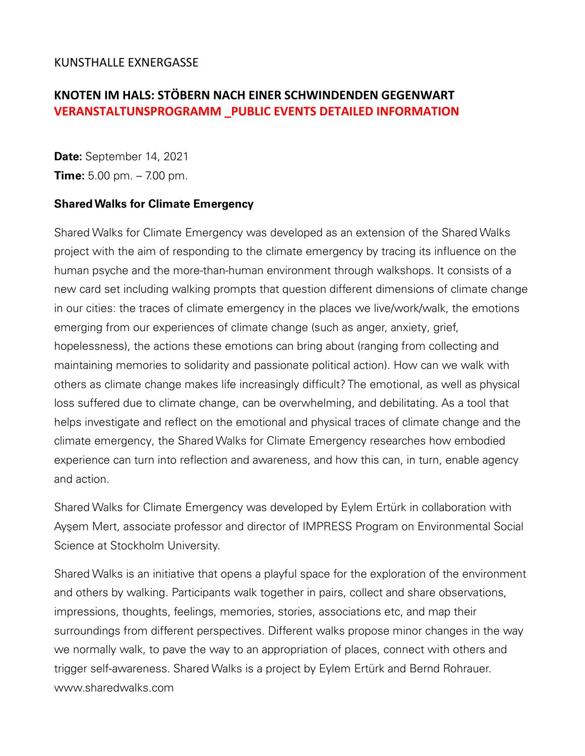## KUNSTHALLE EXNERGASSE

## **KNOTEN IM HALS: STÖBERN NACH EINER SCHWINDENDEN GEGENWART VERANSTALTUNSPROGRAMM \_PUBLIC EVENTS DETAILED INFORMATION**

**Date:** September 14, 2021 **Time:** 5.00 pm. – 7.00 pm.

## **Shared Walks for Climate Emergency**

Shared Walks for Climate Emergency was developed as an extension of the Shared Walks project with the aim of responding to the climate emergency by tracing its influence on the human psyche and the more-than-human environment through walkshops. It consists of a new card set including walking prompts that question different dimensions of climate change in our cities: the traces of climate emergency in the places we live/work/walk, the emotions emerging from our experiences of climate change (such as anger, anxiety, grief, hopelessness), the actions these emotions can bring about (ranging from collecting and maintaining memories to solidarity and passionate political action). How can we walk with others as climate change makes life increasingly difficult? The emotional, as well as physical loss suffered due to climate change, can be overwhelming, and debilitating. As a tool that helps investigate and reflect on the emotional and physical traces of climate change and the climate emergency, the Shared Walks for Climate Emergency researches how embodied experience can turn into reflection and awareness, and how this can, in turn, enable agency and action.

Shared Walks for Climate Emergency was developed by Eylem Ertürk in collaboration with Ayşem Mert, associate professor and director of IMPRESS Program on Environmental Social Science at Stockholm University.

Shared Walks is an initiative that opens a playful space for the exploration of the environment and others by walking. Participants walk together in pairs, collect and share observations, impressions, thoughts, feelings, memories, stories, associations etc, and map their surroundings from different perspectives. Different walks propose minor changes in the way we normally walk, to pave the way to an appropriation of places, connect with others and trigger self-awareness. Shared Walks is a project by Eylem Ertürk and Bernd Rohrauer. www.sharedwalks.com